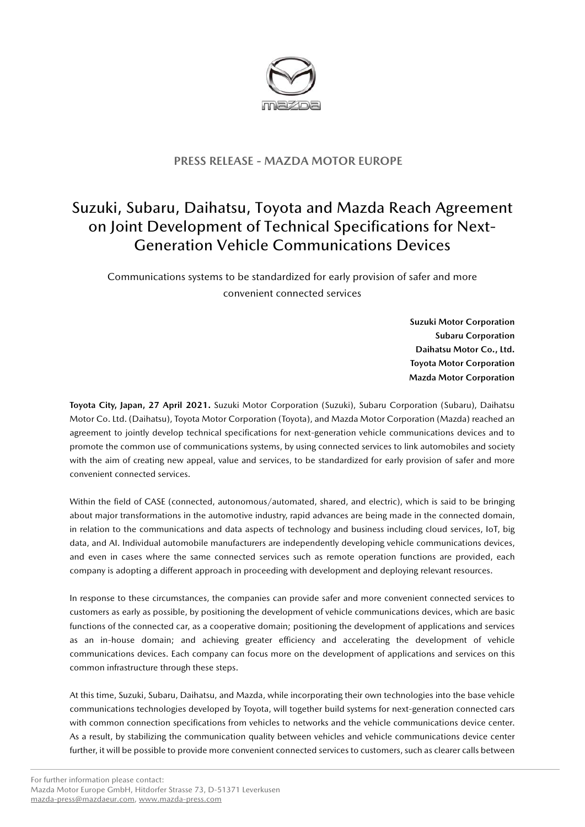

## **PRESS RELEASE - MAZDA MOTOR EUROPE**

## Suzuki, Subaru, Daihatsu, Toyota and Mazda Reach Agreement on Joint Development of Technical Specifications for Next-Generation Vehicle Communications Devices

Communications systems to be standardized for early provision of safer and more convenient connected services

> **Suzuki Motor Corporation Subaru Corporation Daihatsu Motor Co., Ltd. Toyota Motor Corporation Mazda Motor Corporation**

**Toyota City, Japan, 27 April 2021.** Suzuki Motor Corporation (Suzuki), Subaru Corporation (Subaru), Daihatsu Motor Co. Ltd. (Daihatsu), Toyota Motor Corporation (Toyota), and Mazda Motor Corporation (Mazda) reached an agreement to jointly develop technical specifications for next-generation vehicle communications devices and to promote the common use of communications systems, by using connected services to link automobiles and society with the aim of creating new appeal, value and services, to be standardized for early provision of safer and more convenient connected services.

Within the field of CASE (connected, autonomous/automated, shared, and electric), which is said to be bringing about major transformations in the automotive industry, rapid advances are being made in the connected domain, in relation to the communications and data aspects of technology and business including cloud services, IoT, big data, and AI. Individual automobile manufacturers are independently developing vehicle communications devices, and even in cases where the same connected services such as remote operation functions are provided, each company is adopting a different approach in proceeding with development and deploying relevant resources.

In response to these circumstances, the companies can provide safer and more convenient connected services to customers as early as possible, by positioning the development of vehicle communications devices, which are basic functions of the connected car, as a cooperative domain; positioning the development of applications and services as an in-house domain; and achieving greater efficiency and accelerating the development of vehicle communications devices. Each company can focus more on the development of applications and services on this common infrastructure through these steps.

At this time, Suzuki, Subaru, Daihatsu, and Mazda, while incorporating their own technologies into the base vehicle communications technologies developed by Toyota, will together build systems for next-generation connected cars with common connection specifications from vehicles to networks and the vehicle communications device center. As a result, by stabilizing the communication quality between vehicles and vehicle communications device center further, it will be possible to provide more convenient connected services to customers, such as clearer calls between